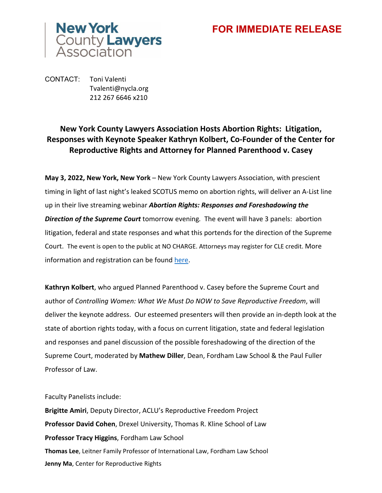## **FOR IMMEDIATE RELEASE**



CONTACT: Toni Valenti Tvalenti@nycla.org 212 267 6646 x210

## **New York County Lawyers Association Hosts Abortion Rights: Litigation, Responses with Keynote Speaker Kathryn Kolbert, Co-Founder of the Center for Reproductive Rights and Attorney for Planned Parenthood v. Casey**

**May 3, 2022, New York, New York** – New York County Lawyers Association, with prescient timing in light of last night's leaked SCOTUS memo on abortion rights, will deliver an A-List line up in their live streaming webinar *Abortion Rights: Responses and Foreshadowing the Direction of the Supreme Court* tomorrow evening*.* The event will have 3 panels: abortion litigation, federal and state responses and what this portends for the direction of the Supreme Court. The event is open to the public at NO CHARGE. Attorneys may register for CLE credit. More information and registration can be found [here.](https://www.nycla.org/NYCLA/Events/Event_Display.aspx?EventKey=CLE050422&WebsiteKey=80d9b981-d8fc-4862-bcde-1e1972943637)

**Kathryn Kolbert**, who argued Planned Parenthood v. Casey before the Supreme Court and author of *Controlling Women: What We Must Do NOW to Save Reproductive Freedom*, will deliver the keynote address. Our esteemed presenters will then provide an in-depth look at the state of abortion rights today, with a focus on current litigation, state and federal legislation and responses and panel discussion of the possible foreshadowing of the direction of the Supreme Court, moderated by **Mathew Diller**, Dean, Fordham Law School & the Paul Fuller Professor of Law.

Faculty Panelists include:

**Brigitte Amiri**, Deputy Director, ACLU's Reproductive Freedom Project **Professor David Cohen**, Drexel University, Thomas R. Kline School of Law **Professor Tracy Higgins**, Fordham Law School **Thomas Lee**, Leitner Family Professor of International Law, Fordham Law School **Jenny Ma**, Center for Reproductive Rights